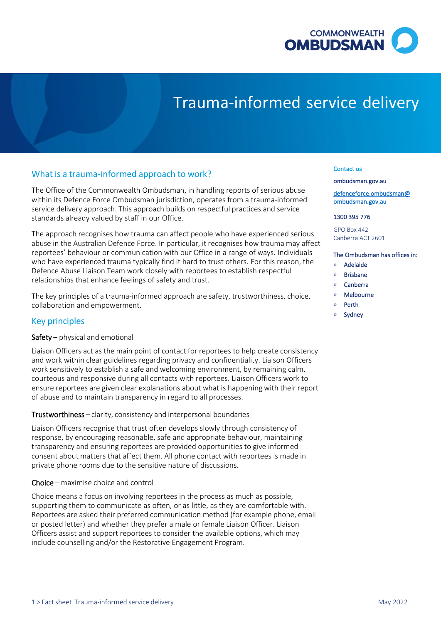

# Trauma-informed service delivery

# What is a trauma-informed approach to work?

 The Office of the Commonwealth Ombudsman, in handling reports of serious abuse within its Defence Force Ombudsman jurisdiction, operates from a trauma-informed service delivery approach. This approach builds on respectful practices and service standards already valued by staff in our Office.

 abuse in the Australian Defence Force. In particular, it recognises how trauma may affect reportees' behaviour or communication with our Office in a range of ways. Individuals relationships that enhance feelings of safety and trust. The approach recognises how trauma can affect people who have experienced serious who have experienced trauma typically find it hard to trust others. For this reason, the Defence Abuse Liaison Team work closely with reportees to establish respectful

 The key principles of a trauma-informed approach are safety, trustworthiness, choice, collaboration and empowerment.

# Key principles

# Safety – physical and emotional

 Liaison Officers act as the main point of contact for reportees to help create consistency courteous and responsive during all contacts with reportees. Liaison Officers work to ensure reportees are given clear explanations about what is happening with their report and work within clear guidelines regarding privacy and confidentiality. Liaison Officers work sensitively to establish a safe and welcoming environment, by remaining calm, of abuse and to maintain transparency in regard to all processes.

### Trustworthiness – clarity, consistency and interpersonal boundaries

 response, by encouraging reasonable, safe and appropriate behaviour, maintaining consent about matters that affect them. All phone contact with reportees is made in private phone rooms due to the sensitive nature of discussions. Liaison Officers recognise that trust often develops slowly through consistency of transparency and ensuring reportees are provided opportunities to give informed

# Choice – maximise choice and control

 Reportees are asked their preferred communication method (for example phone, email Officers assist and support reportees to consider the available options, which may Choice means a focus on involving reportees in the process as much as possible, supporting them to communicate as often, or as little, as they are comfortable with. or posted letter) and whether they prefer a male or female Liaison Officer. Liaison include counselling and/or the Restorative Engagement Program.

#### Contact us

[ombudsman.gov.au](http://www.ombudsman.gov.au/) 

[defenceforce.ombudsman@](mailto:defenceforce.ombudsman@ombudsman.gov.au)  [ombudsman.gov.au](mailto:defenceforce.ombudsman@ombudsman.gov.au) 

1300 395 776

GPO Box 442 Canberra ACT 2601

#### The Ombudsman has offices in:

- » Adelaide
- » Brisbane
- » Canberra
- » Melbourne
- » Perth
- **Sydney**